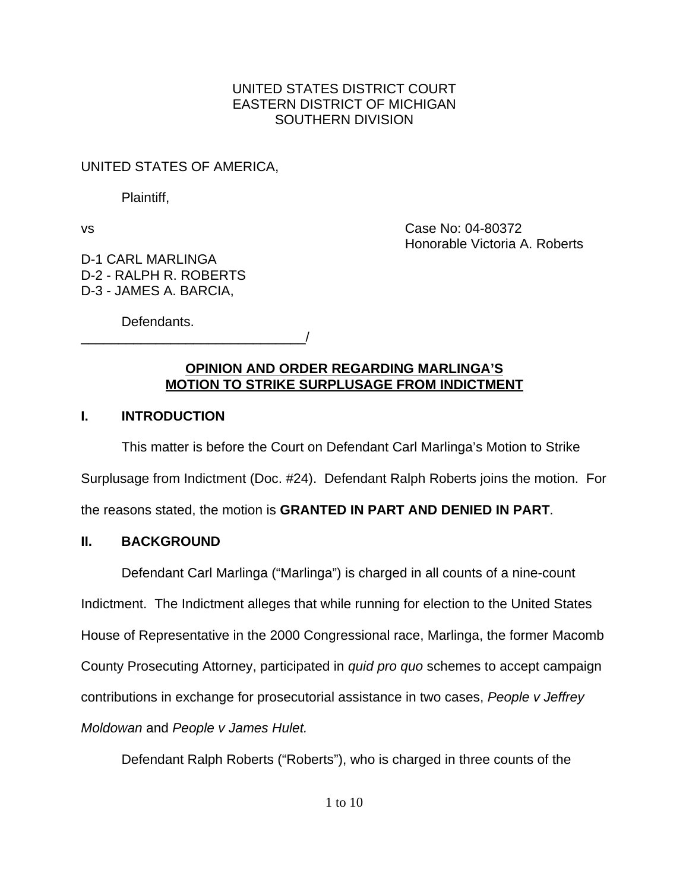## UNITED STATES DISTRICT COURT EASTERN DISTRICT OF MICHIGAN SOUTHERN DIVISION

# UNITED STATES OF AMERICA,

Plaintiff,

vs Case No: 04-80372 Honorable Victoria A. Roberts

D-1 CARL MARLINGA D-2 - RALPH R. ROBERTS D-3 - JAMES A. BARCIA,

Defendants.

\_\_\_\_\_\_\_\_\_\_\_\_\_\_\_\_\_\_\_\_\_\_\_\_\_\_\_\_\_\_/

## **OPINION AND ORDER REGARDING MARLINGA'S MOTION TO STRIKE SURPLUSAGE FROM INDICTMENT**

# **I. INTRODUCTION**

This matter is before the Court on Defendant Carl Marlinga's Motion to Strike Surplusage from Indictment (Doc. #24). Defendant Ralph Roberts joins the motion. For the reasons stated, the motion is **GRANTED IN PART AND DENIED IN PART**.

# **II. BACKGROUND**

Defendant Carl Marlinga ("Marlinga") is charged in all counts of a nine-count Indictment. The Indictment alleges that while running for election to the United States House of Representative in the 2000 Congressional race, Marlinga, the former Macomb County Prosecuting Attorney, participated in *quid pro quo* schemes to accept campaign contributions in exchange for prosecutorial assistance in two cases, *People v Jeffrey Moldowan* and *People v James Hulet.*

Defendant Ralph Roberts ("Roberts"), who is charged in three counts of the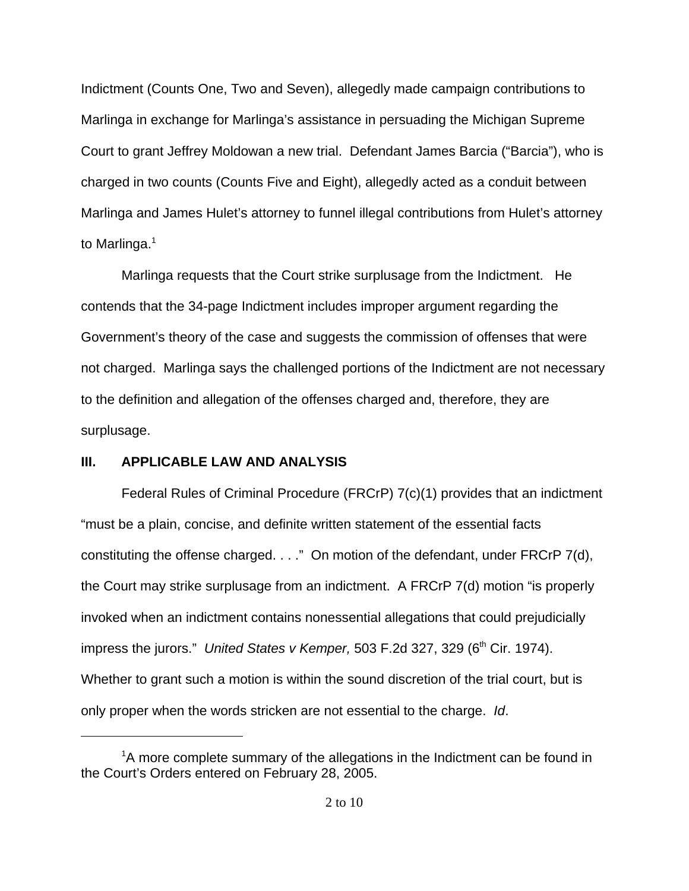Indictment (Counts One, Two and Seven), allegedly made campaign contributions to Marlinga in exchange for Marlinga's assistance in persuading the Michigan Supreme Court to grant Jeffrey Moldowan a new trial. Defendant James Barcia ("Barcia"), who is charged in two counts (Counts Five and Eight), allegedly acted as a conduit between Marlinga and James Hulet's attorney to funnel illegal contributions from Hulet's attorney to Marlinga. $<sup>1</sup>$ </sup>

Marlinga requests that the Court strike surplusage from the Indictment. He contends that the 34-page Indictment includes improper argument regarding the Government's theory of the case and suggests the commission of offenses that were not charged. Marlinga says the challenged portions of the Indictment are not necessary to the definition and allegation of the offenses charged and, therefore, they are surplusage.

#### **III. APPLICABLE LAW AND ANALYSIS**

Federal Rules of Criminal Procedure (FRCrP) 7(c)(1) provides that an indictment "must be a plain, concise, and definite written statement of the essential facts constituting the offense charged. . . ." On motion of the defendant, under FRCrP 7(d), the Court may strike surplusage from an indictment. A FRCrP 7(d) motion "is properly invoked when an indictment contains nonessential allegations that could prejudicially impress the jurors." United States v Kemper, 503 F.2d 327, 329 (6<sup>th</sup> Cir. 1974). Whether to grant such a motion is within the sound discretion of the trial court, but is only proper when the words stricken are not essential to the charge. *Id*.

<sup>&</sup>lt;sup>1</sup>A more complete summary of the allegations in the Indictment can be found in the Court's Orders entered on February 28, 2005.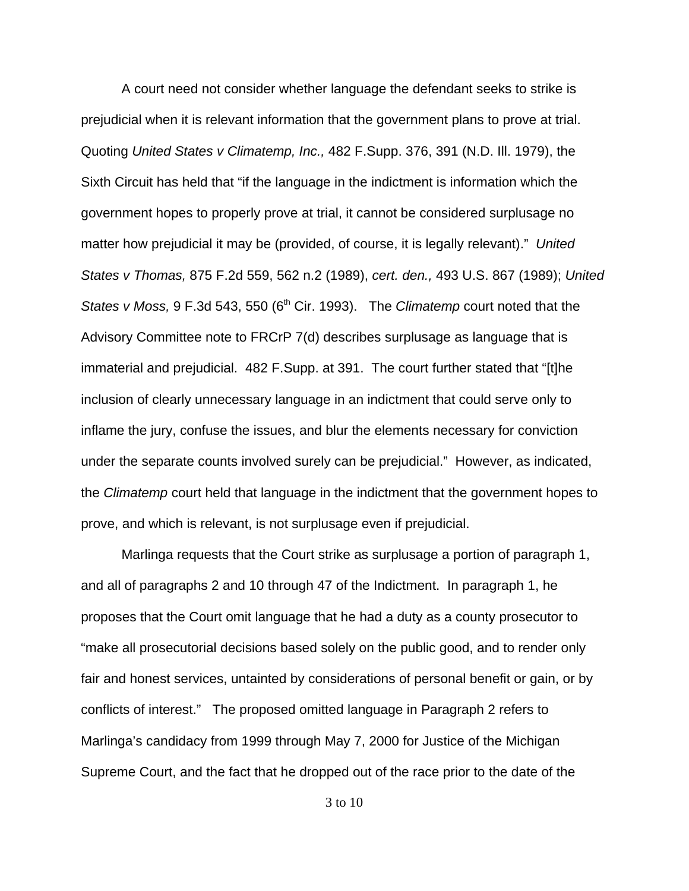A court need not consider whether language the defendant seeks to strike is prejudicial when it is relevant information that the government plans to prove at trial. Quoting *United States v Climatemp, Inc.,* 482 F.Supp. 376, 391 (N.D. Ill. 1979), the Sixth Circuit has held that "if the language in the indictment is information which the government hopes to properly prove at trial, it cannot be considered surplusage no matter how prejudicial it may be (provided, of course, it is legally relevant)." *United States v Thomas,* 875 F.2d 559, 562 n.2 (1989), *cert. den.,* 493 U.S. 867 (1989); *United States v Moss, 9 F.3d 543, 550 (6<sup>th</sup> Cir. 1993).* The *Climatemp* court noted that the Advisory Committee note to FRCrP 7(d) describes surplusage as language that is immaterial and prejudicial. 482 F.Supp. at 391. The court further stated that "[t]he inclusion of clearly unnecessary language in an indictment that could serve only to inflame the jury, confuse the issues, and blur the elements necessary for conviction under the separate counts involved surely can be prejudicial." However, as indicated, the *Climatemp* court held that language in the indictment that the government hopes to prove, and which is relevant, is not surplusage even if prejudicial.

Marlinga requests that the Court strike as surplusage a portion of paragraph 1, and all of paragraphs 2 and 10 through 47 of the Indictment. In paragraph 1, he proposes that the Court omit language that he had a duty as a county prosecutor to "make all prosecutorial decisions based solely on the public good, and to render only fair and honest services, untainted by considerations of personal benefit or gain, or by conflicts of interest." The proposed omitted language in Paragraph 2 refers to Marlinga's candidacy from 1999 through May 7, 2000 for Justice of the Michigan Supreme Court, and the fact that he dropped out of the race prior to the date of the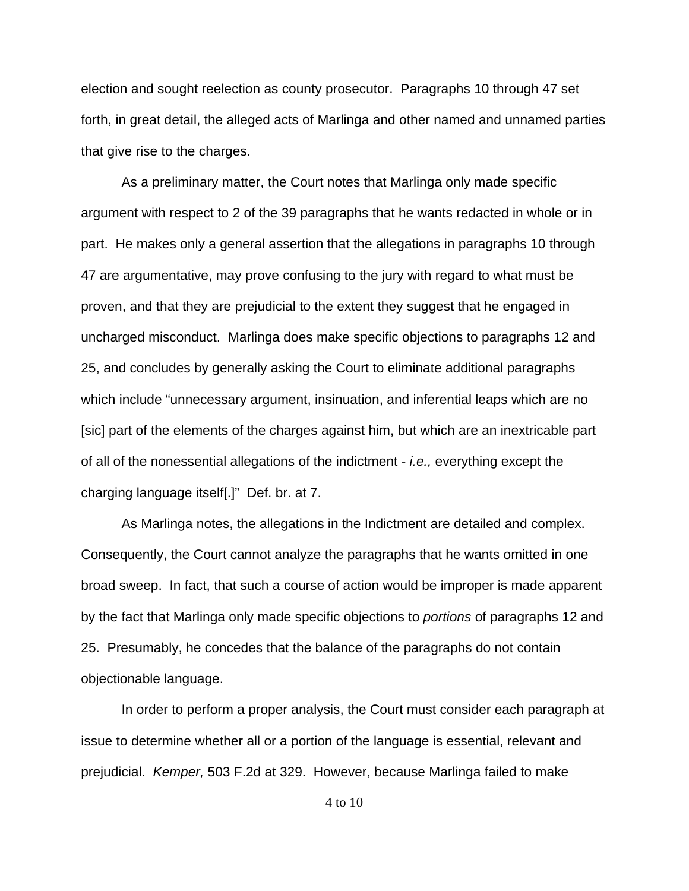election and sought reelection as county prosecutor. Paragraphs 10 through 47 set forth, in great detail, the alleged acts of Marlinga and other named and unnamed parties that give rise to the charges.

As a preliminary matter, the Court notes that Marlinga only made specific argument with respect to 2 of the 39 paragraphs that he wants redacted in whole or in part. He makes only a general assertion that the allegations in paragraphs 10 through 47 are argumentative, may prove confusing to the jury with regard to what must be proven, and that they are prejudicial to the extent they suggest that he engaged in uncharged misconduct. Marlinga does make specific objections to paragraphs 12 and 25, and concludes by generally asking the Court to eliminate additional paragraphs which include "unnecessary argument, insinuation, and inferential leaps which are no [sic] part of the elements of the charges against him, but which are an inextricable part of all of the nonessential allegations of the indictment - *i.e.,* everything except the charging language itself[.]" Def. br. at 7.

As Marlinga notes, the allegations in the Indictment are detailed and complex. Consequently, the Court cannot analyze the paragraphs that he wants omitted in one broad sweep. In fact, that such a course of action would be improper is made apparent by the fact that Marlinga only made specific objections to *portions* of paragraphs 12 and 25. Presumably, he concedes that the balance of the paragraphs do not contain objectionable language.

In order to perform a proper analysis, the Court must consider each paragraph at issue to determine whether all or a portion of the language is essential, relevant and prejudicial. *Kemper,* 503 F.2d at 329.However, because Marlinga failed to make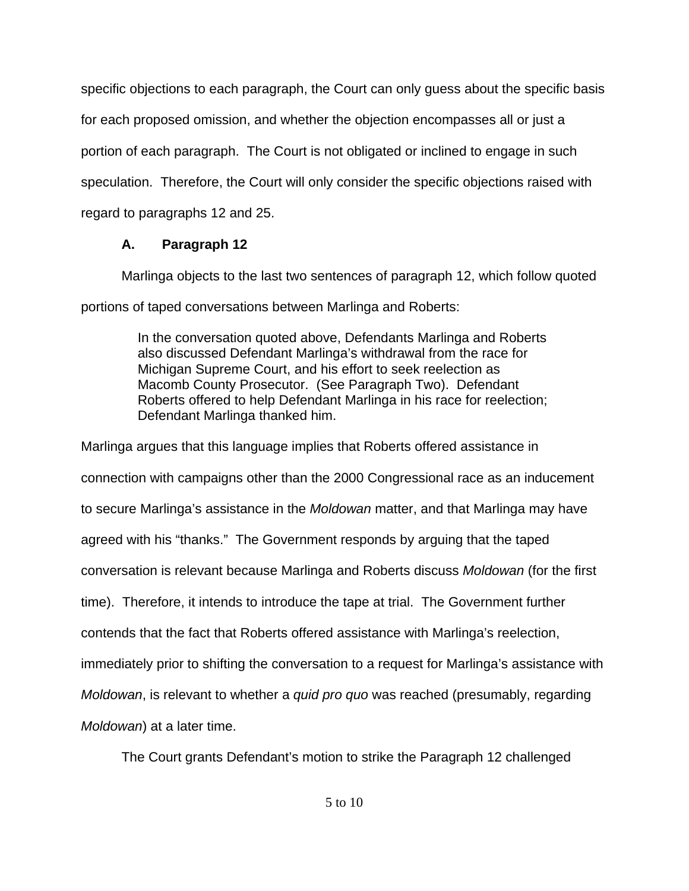specific objections to each paragraph, the Court can only guess about the specific basis for each proposed omission, and whether the objection encompasses all or just a portion of each paragraph. The Court is not obligated or inclined to engage in such speculation. Therefore, the Court will only consider the specific objections raised with regard to paragraphs 12 and 25.

# **A. Paragraph 12**

Marlinga objects to the last two sentences of paragraph 12, which follow quoted portions of taped conversations between Marlinga and Roberts:

> In the conversation quoted above, Defendants Marlinga and Roberts also discussed Defendant Marlinga's withdrawal from the race for Michigan Supreme Court, and his effort to seek reelection as Macomb County Prosecutor. (See Paragraph Two). Defendant Roberts offered to help Defendant Marlinga in his race for reelection; Defendant Marlinga thanked him.

Marlinga argues that this language implies that Roberts offered assistance in connection with campaigns other than the 2000 Congressional race as an inducement to secure Marlinga's assistance in the *Moldowan* matter, and that Marlinga may have agreed with his "thanks." The Government responds by arguing that the taped conversation is relevant because Marlinga and Roberts discuss *Moldowan* (for the first time). Therefore, it intends to introduce the tape at trial. The Government further contends that the fact that Roberts offered assistance with Marlinga's reelection, immediately prior to shifting the conversation to a request for Marlinga's assistance with *Moldowan*, is relevant to whether a *quid pro quo* was reached (presumably, regarding *Moldowan*) at a later time.

The Court grants Defendant's motion to strike the Paragraph 12 challenged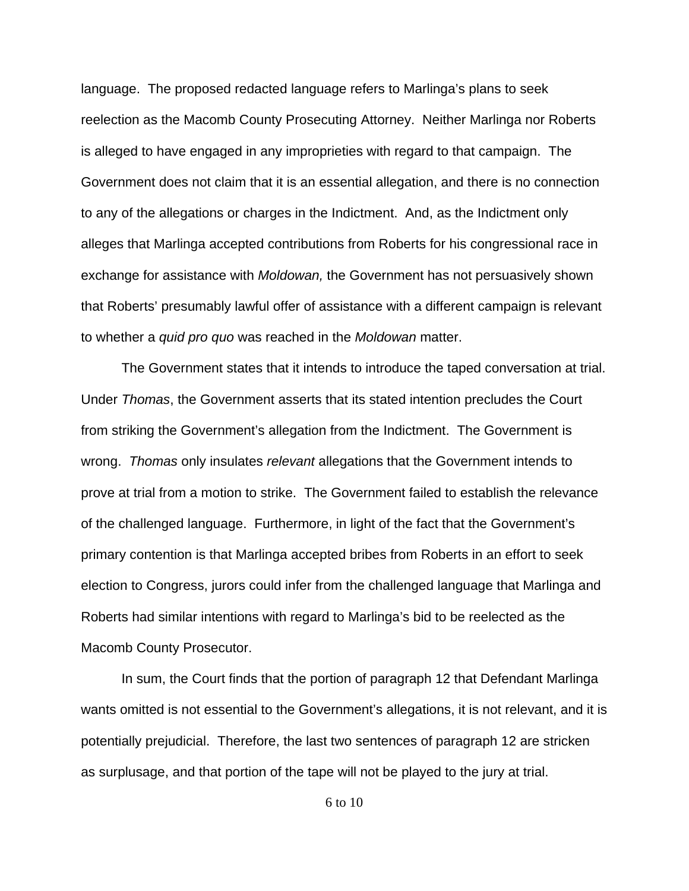language. The proposed redacted language refers to Marlinga's plans to seek reelection as the Macomb County Prosecuting Attorney. Neither Marlinga nor Roberts is alleged to have engaged in any improprieties with regard to that campaign. The Government does not claim that it is an essential allegation, and there is no connection to any of the allegations or charges in the Indictment. And, as the Indictment only alleges that Marlinga accepted contributions from Roberts for his congressional race in exchange for assistance with *Moldowan,* the Government has not persuasively shown that Roberts' presumably lawful offer of assistance with a different campaign is relevant to whether a *quid pro quo* was reached in the *Moldowan* matter.

The Government states that it intends to introduce the taped conversation at trial. Under *Thomas*, the Government asserts that its stated intention precludes the Court from striking the Government's allegation from the Indictment. The Government is wrong. *Thomas* only insulates *relevant* allegations that the Government intends to prove at trial from a motion to strike. The Government failed to establish the relevance of the challenged language. Furthermore, in light of the fact that the Government's primary contention is that Marlinga accepted bribes from Roberts in an effort to seek election to Congress, jurors could infer from the challenged language that Marlinga and Roberts had similar intentions with regard to Marlinga's bid to be reelected as the Macomb County Prosecutor.

In sum, the Court finds that the portion of paragraph 12 that Defendant Marlinga wants omitted is not essential to the Government's allegations, it is not relevant, and it is potentially prejudicial. Therefore, the last two sentences of paragraph 12 are stricken as surplusage, and that portion of the tape will not be played to the jury at trial.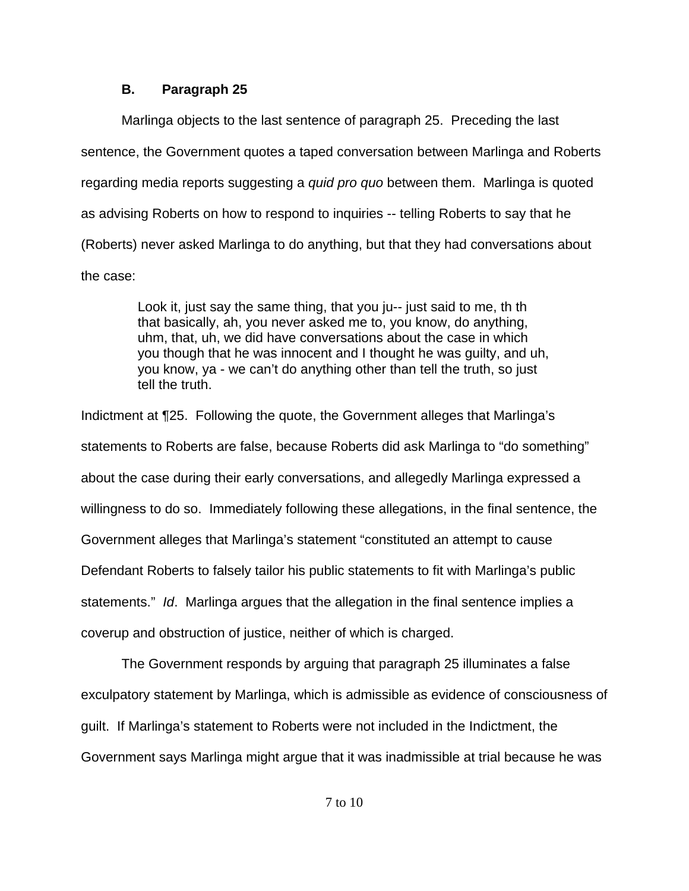### **B. Paragraph 25**

Marlinga objects to the last sentence of paragraph 25. Preceding the last sentence, the Government quotes a taped conversation between Marlinga and Roberts regarding media reports suggesting a *quid pro quo* between them. Marlinga is quoted as advising Roberts on how to respond to inquiries -- telling Roberts to say that he (Roberts) never asked Marlinga to do anything, but that they had conversations about the case:

> Look it, just say the same thing, that you ju-- just said to me, th th that basically, ah, you never asked me to, you know, do anything, uhm, that, uh, we did have conversations about the case in which you though that he was innocent and I thought he was guilty, and uh, you know, ya - we can't do anything other than tell the truth, so just tell the truth.

Indictment at ¶25. Following the quote, the Government alleges that Marlinga's statements to Roberts are false, because Roberts did ask Marlinga to "do something" about the case during their early conversations, and allegedly Marlinga expressed a willingness to do so. Immediately following these allegations, in the final sentence, the Government alleges that Marlinga's statement "constituted an attempt to cause Defendant Roberts to falsely tailor his public statements to fit with Marlinga's public statements." *Id*. Marlinga argues that the allegation in the final sentence implies a coverup and obstruction of justice, neither of which is charged.

The Government responds by arguing that paragraph 25 illuminates a false exculpatory statement by Marlinga, which is admissible as evidence of consciousness of guilt. If Marlinga's statement to Roberts were not included in the Indictment, the Government says Marlinga might argue that it was inadmissible at trial because he was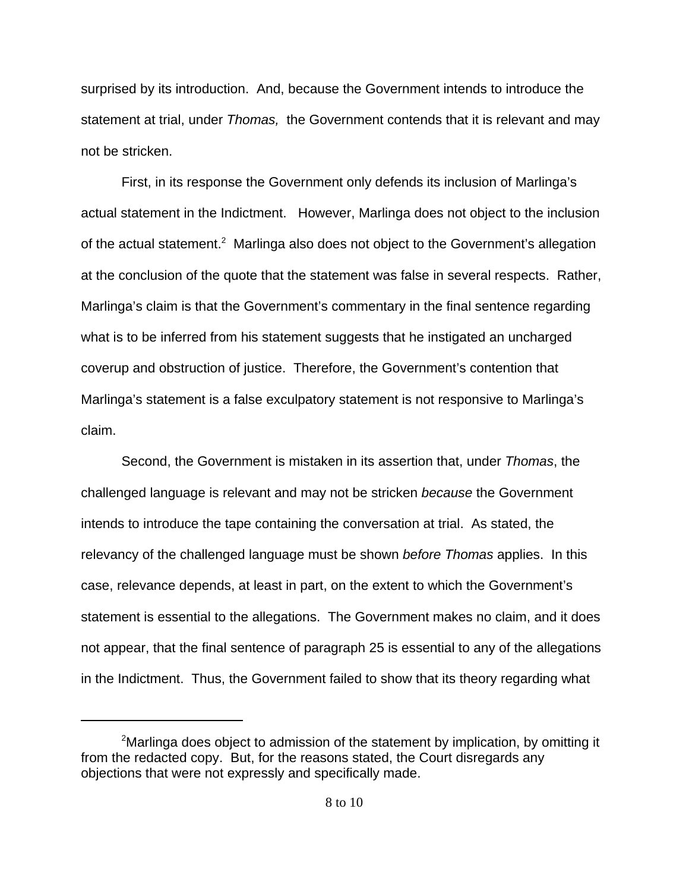surprised by its introduction. And, because the Government intends to introduce the statement at trial, under *Thomas,* the Government contends that it is relevant and may not be stricken.

First, in its response the Government only defends its inclusion of Marlinga's actual statement in the Indictment. However, Marlinga does not object to the inclusion of the actual statement.<sup>2</sup> Marlinga also does not object to the Government's allegation at the conclusion of the quote that the statement was false in several respects. Rather, Marlinga's claim is that the Government's commentary in the final sentence regarding what is to be inferred from his statement suggests that he instigated an uncharged coverup and obstruction of justice. Therefore, the Government's contention that Marlinga's statement is a false exculpatory statement is not responsive to Marlinga's claim.

Second, the Government is mistaken in its assertion that, under *Thomas*, the challenged language is relevant and may not be stricken *because* the Government intends to introduce the tape containing the conversation at trial. As stated, the relevancy of the challenged language must be shown *before Thomas* applies. In this case, relevance depends, at least in part, on the extent to which the Government's statement is essential to the allegations. The Government makes no claim, and it does not appear, that the final sentence of paragraph 25 is essential to any of the allegations in the Indictment. Thus, the Government failed to show that its theory regarding what

 $2$ Marlinga does object to admission of the statement by implication, by omitting it from the redacted copy. But, for the reasons stated, the Court disregards any objections that were not expressly and specifically made.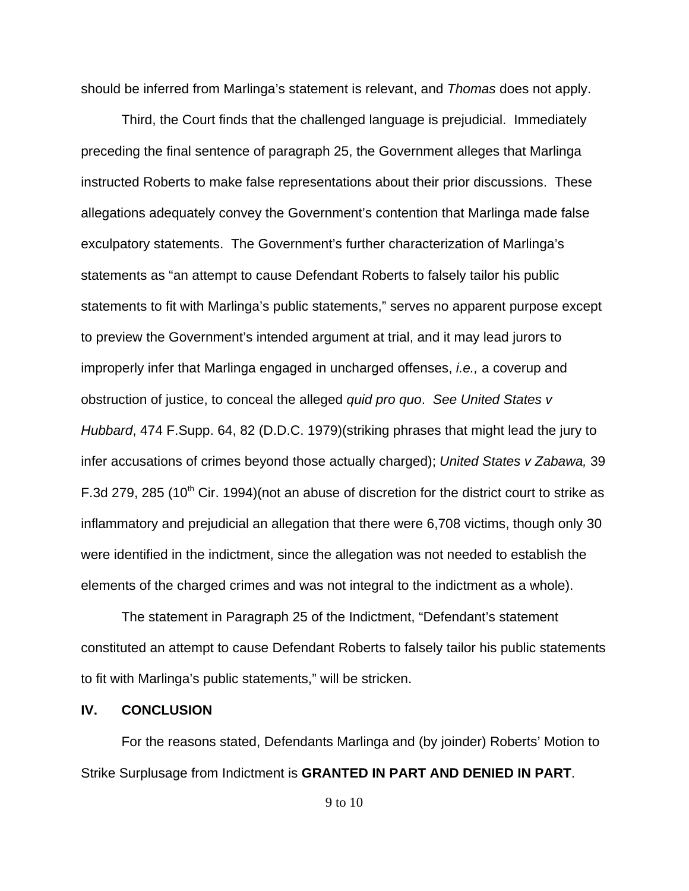should be inferred from Marlinga's statement is relevant, and *Thomas* does not apply.

Third, the Court finds that the challenged language is prejudicial. Immediately preceding the final sentence of paragraph 25, the Government alleges that Marlinga instructed Roberts to make false representations about their prior discussions. These allegations adequately convey the Government's contention that Marlinga made false exculpatory statements. The Government's further characterization of Marlinga's statements as "an attempt to cause Defendant Roberts to falsely tailor his public statements to fit with Marlinga's public statements," serves no apparent purpose except to preview the Government's intended argument at trial, and it may lead jurors to improperly infer that Marlinga engaged in uncharged offenses, *i.e.,* a coverup and obstruction of justice, to conceal the alleged *quid pro quo*. *See United States v Hubbard*, 474 F.Supp. 64, 82 (D.D.C. 1979)(striking phrases that might lead the jury to infer accusations of crimes beyond those actually charged); *United States v Zabawa,* 39 F.3d 279, 285 (10<sup>th</sup> Cir. 1994)(not an abuse of discretion for the district court to strike as inflammatory and prejudicial an allegation that there were 6,708 victims, though only 30 were identified in the indictment, since the allegation was not needed to establish the elements of the charged crimes and was not integral to the indictment as a whole).

The statement in Paragraph 25 of the Indictment, "Defendant's statement constituted an attempt to cause Defendant Roberts to falsely tailor his public statements to fit with Marlinga's public statements," will be stricken.

#### **IV. CONCLUSION**

For the reasons stated, Defendants Marlinga and (by joinder) Roberts' Motion to Strike Surplusage from Indictment is **GRANTED IN PART AND DENIED IN PART**.